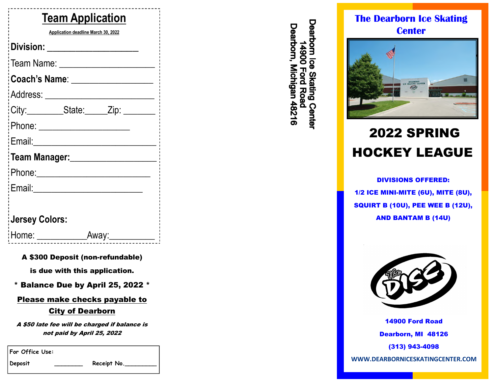| <b>Team Application</b>                                                                                                                  |
|------------------------------------------------------------------------------------------------------------------------------------------|
| Application deadline March 30, 2022                                                                                                      |
| Division: __________________                                                                                                             |
|                                                                                                                                          |
| Coach's Name: ___________________                                                                                                        |
|                                                                                                                                          |
| City:__________State:______Zip: ________                                                                                                 |
|                                                                                                                                          |
| :Email:______________________                                                                                                            |
| Team Manager: _____________________                                                                                                      |
|                                                                                                                                          |
| Email: 2008 2010 2010 2011 2022 2023 2024 2022 2022 2023 2024 2022 2023 2024 2025 2026 2027 2028 2021 2022 20                            |
|                                                                                                                                          |
| <b>Jersey Colors:</b>                                                                                                                    |
| Home: All and the state of the state of the state of the state of the state of the state of the state of the s<br><u>Away:__________</u> |

#### A \$300 Deposit (non-refundable)

is due with this application.

\* Balance Due by April 25, 2022 \*

#### Please make checks payable to

#### City of Dearborn

A \$50 late fee will be charged if balance is not paid by April 25, 2022

**For Office Use:** 

Deposit **Receipt No.** 

Dearborn Ice Skating Center<br>14900 Ford Road Dearborn, Michigan 48216

### **The Dearborn Ice Skating Center**



# 2022 SPRING HOCKEY LEAGUE

DIVISIONS OFFERED: 1/2 ICE MINI-MITE (6U), MITE (8U), SQUIRT B (10U), PEE WEE B (12U), AND BANTAM B (14U)



14900 Ford Road Dearborn, MI 48126 (313) 943-4098

**WWW.DEARBORNICESKATINGCENTER.COM**